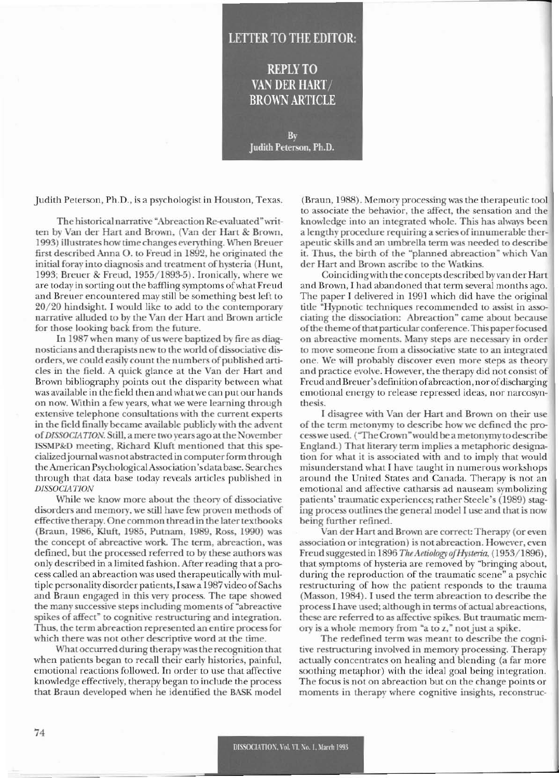## **LETTER TO THE EDITOR:**

**REPLY TO** VAN DER HART/ **BROWN ARTICLE** 

By Judith Peterson, Ph.D.

Judith Peterson, Ph.D., is a psychologist in Houston, Texas.

The historical narrative "Abreaction Re-evaluated" written by Van der Hart and Brown, (Van der Hart & Brown, 1993) illustrates how time changes everything. When Breuer first described Anna O. to Freud in 1892, he originated the initial foray into diagnosis and treatment of hysteria (Hunt, 1993; Breuer & Freud, 1955/1893-5). Ironically, where we are today in sorting out the baffling symptoms of what Freud and Breuer encountered may still be something best left to 20/20 hindsight. I would like to add to the contemporary narrative alluded to by the Van der Hart and Brown article for those looking back from the future.

In 1987 when many of us were baptized by fire as diagnosticians and therapists new to the world of dissociative disorders, we could easily count the numbers of published articles in the field. A quick glance at the Van der Hart and Brown bibliography points out the disparity between what was available in the field then and what we can put our hands on now. Within a few years, what we were learning through extensive telephone consultations with the current experts in the field finally became available publicly with the advent of DISSOCIATION. Still, a mere two years ago at the November ISSMP&D meeting, Richard Kluft mentioned that this specialized journal was not abstracted in computer form through the American Psychological Association's data base. Searches through that data base today reveals articles published in **DISSOCIATION** 

While we know more about the theory of dissociative disorders and memory, we still have few proven methods of effective therapy. One common thread in the later textbooks (Braun, 1986, Kluft, 1985, Putnam, 1989, Ross, 1990) was the concept of abreactive work. The term, abreaction, was defined, but the processed referred to by these authors was only described in a limited fashion. After reading that a process called an abreaction was used therapeutically with multiple personality disorder patients, I saw a 1987 video of Sachs and Braun engaged in this very process. The tape showed the many successive steps including moments of "abreactive" spikes of affect" to cognitive restructuring and integration. Thus, the term abreaction represented an entire process for which there was not other descriptive word at the time.

What occurred during therapy was the recognition that when patients began to recall their early histories, painful, emotional reactions followed. In order to use that affective knowledge effectively, therapy began to include the process that Braun developed when he identified the BASK model

(Braun, 1988). Memory processing was the therapeutic tool to associate the behavior, the affect, the sensation and the knowledge into an integrated whole. This has always been a lengthy procedure requiring a series of innumerable therapeutic skills and an umbrella term was needed to describe it. Thus, the birth of the "planned abreaction" which Van der Hart and Brown ascribe to the Watkins.

Coinciding with the concepts described by van der Hart and Brown, I had abandoned that term several months ago. The paper I delivered in 1991 which did have the original title "Hypnotic techniques recommended to assist in associating the dissociation: Abreaction" came about because of the theme of that particular conference. This paper focused on abreactive moments. Many steps are necessary in order to move someone from a dissociative state to an integrated one. We will probably discover even more steps as theory and practice evolve. However, the therapy did not consist of Freud and Breuer's definition of abreaction, nor of discharging emotional energy to release repressed ideas, nor narcosynthesis.

I disagree with Van der Hart and Brown on their use of the term metonymy to describe how we defined the process we used. ("The Crown" would be a metonymy to describe England.) That literary term implies a metaphoric designation for what it is associated with and to imply that would misunderstand what I have taught in numerous workshops around the United States and Canada. Therapy is not an emotional and affective catharsis ad nauseam symbolizing patients' traumatic experiences; rather Steele's (1989) staging process outlines the general model I use and that is now being further refined.

Van der Hart and Brown are correct: Therapy (or even association or integration) is not abreaction. However, even Freud suggested in 1896 The Aetiology of Hysteria, (1953/1896), that symptoms of hysteria are removed by "bringing about, during the reproduction of the traumatic scene" a psychic restructuring of how the patient responds to the trauma (Masson, 1984). I used the term abreaction to describe the process I have used; although in terms of actual abreactions, these are referred to as affective spikes. But traumatic memory is a whole memory from "a to z," not just a spike.

The redefined term was meant to describe the cognitive restructuring involved in memory processing. Therapy actually concentrates on healing and blending (a far more soothing metaphor) with the ideal goal being integration. The focus is not on abreaction but on the change points or moments in therapy where cognitive insights, reconstruc